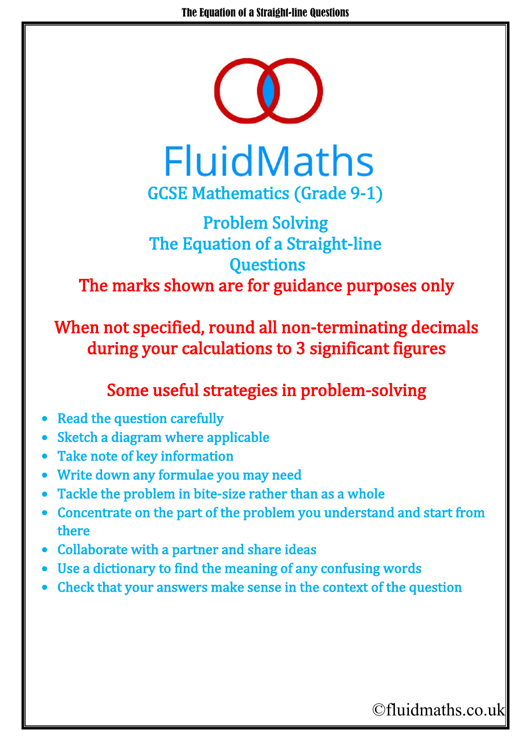

**FluidMaths** GCSE Mathematics (Grade 9-1)

## Problem Solving The Equation of a Straight-line **Questions** The marks shown are for guidance purposes only

When not specified, round all non-terminating decimals during your calculations to 3 significant figures

## Some useful strategies in problem-solving

- **Read the question carefully**
- Sketch a diagram where applicable
- Take note of key information
- Write down any formulae you may need
- Tackle the problem in bite-size rather than as a whole
- Concentrate on the part of the problem you understand and start from there
- Collaborate with a partner and share ideas
- Use a dictionary to find the meaning of any confusing words
- Check that your answers make sense in the context of the question

## ©fluidmaths.co.uk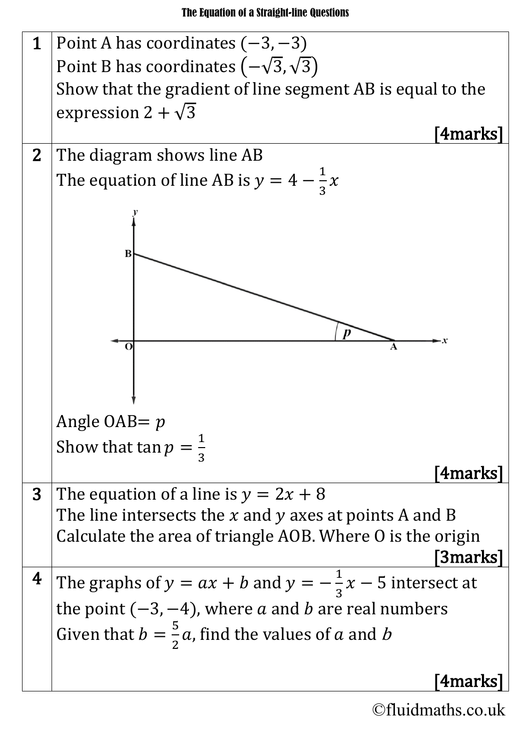

©fluidmaths.co.uk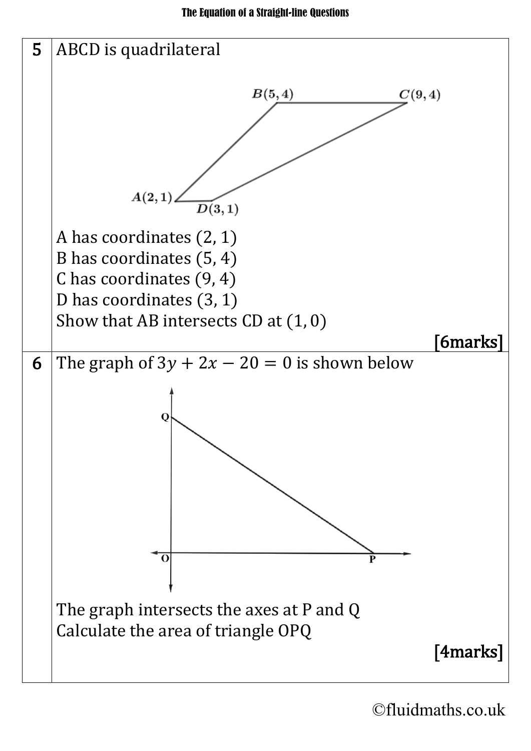

©fluidmaths.co.uk